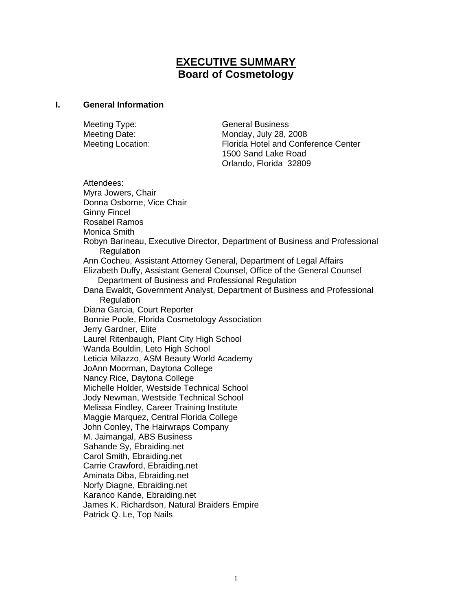# **EXECUTIVE SUMMARY Board of Cosmetology**

#### **I. General Information**

Meeting Type: General Business Meeting Date: Monday, July 28, 2008 Meeting Location: Florida Hotel and Conference Center 1500 Sand Lake Road Orlando, Florida 32809

Attendees: Myra Jowers, Chair Donna Osborne, Vice Chair Ginny Fincel Rosabel Ramos Monica Smith Robyn Barineau, Executive Director, Department of Business and Professional Regulation Ann Cocheu, Assistant Attorney General, Department of Legal Affairs Elizabeth Duffy, Assistant General Counsel, Office of the General Counsel Department of Business and Professional Regulation Dana Ewaldt, Government Analyst, Department of Business and Professional **Regulation** Diana Garcia, Court Reporter Bonnie Poole, Florida Cosmetology Association Jerry Gardner, Elite Laurel Ritenbaugh, Plant City High School Wanda Bouldin, Leto High School Leticia Milazzo, ASM Beauty World Academy JoAnn Moorman, Daytona College Nancy Rice, Daytona College Michelle Holder, Westside Technical School Jody Newman, Westside Technical School Melissa Findley, Career Training Institute Maggie Marquez, Central Florida College John Conley, The Hairwraps Company M. Jaimangal, ABS Business Sahande Sy, Ebraiding.net Carol Smith, Ebraiding.net Carrie Crawford, Ebraiding.net Aminata Diba, Ebraiding.net Norfy Diagne, Ebraiding.net Karanco Kande, Ebraiding.net James K. Richardson, Natural Braiders Empire

Patrick Q. Le, Top Nails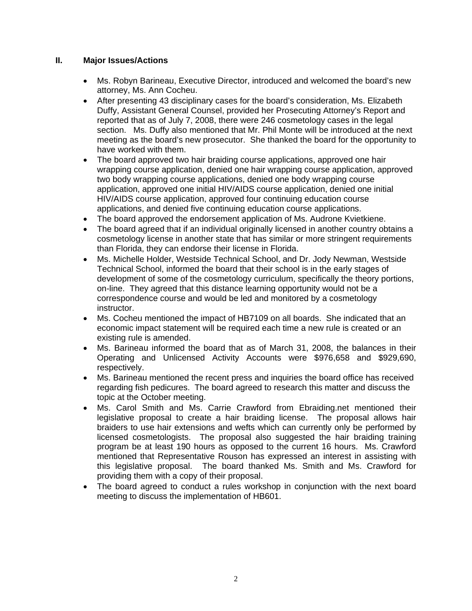# **II. Major Issues/Actions**

- Ms. Robyn Barineau, Executive Director, introduced and welcomed the board's new attorney, Ms. Ann Cocheu.
- After presenting 43 disciplinary cases for the board's consideration, Ms. Elizabeth Duffy, Assistant General Counsel, provided her Prosecuting Attorney's Report and reported that as of July 7, 2008, there were 246 cosmetology cases in the legal section. Ms. Duffy also mentioned that Mr. Phil Monte will be introduced at the next meeting as the board's new prosecutor. She thanked the board for the opportunity to have worked with them.
- The board approved two hair braiding course applications, approved one hair wrapping course application, denied one hair wrapping course application, approved two body wrapping course applications, denied one body wrapping course application, approved one initial HIV/AIDS course application, denied one initial HIV/AIDS course application, approved four continuing education course applications, and denied five continuing education course applications.
- The board approved the endorsement application of Ms. Audrone Kvietkiene.
- The board agreed that if an individual originally licensed in another country obtains a cosmetology license in another state that has similar or more stringent requirements than Florida, they can endorse their license in Florida.
- Ms. Michelle Holder, Westside Technical School, and Dr. Jody Newman, Westside Technical School, informed the board that their school is in the early stages of development of some of the cosmetology curriculum, specifically the theory portions, on-line. They agreed that this distance learning opportunity would not be a correspondence course and would be led and monitored by a cosmetology instructor.
- Ms. Cocheu mentioned the impact of HB7109 on all boards. She indicated that an economic impact statement will be required each time a new rule is created or an existing rule is amended.
- Ms. Barineau informed the board that as of March 31, 2008, the balances in their Operating and Unlicensed Activity Accounts were \$976,658 and \$929,690, respectively.
- Ms. Barineau mentioned the recent press and inquiries the board office has received regarding fish pedicures. The board agreed to research this matter and discuss the topic at the October meeting.
- Ms. Carol Smith and Ms. Carrie Crawford from Ebraiding.net mentioned their legislative proposal to create a hair braiding license. The proposal allows hair braiders to use hair extensions and wefts which can currently only be performed by licensed cosmetologists. The proposal also suggested the hair braiding training program be at least 190 hours as opposed to the current 16 hours. Ms. Crawford mentioned that Representative Rouson has expressed an interest in assisting with this legislative proposal. The board thanked Ms. Smith and Ms. Crawford for providing them with a copy of their proposal.
- The board agreed to conduct a rules workshop in conjunction with the next board meeting to discuss the implementation of HB601.